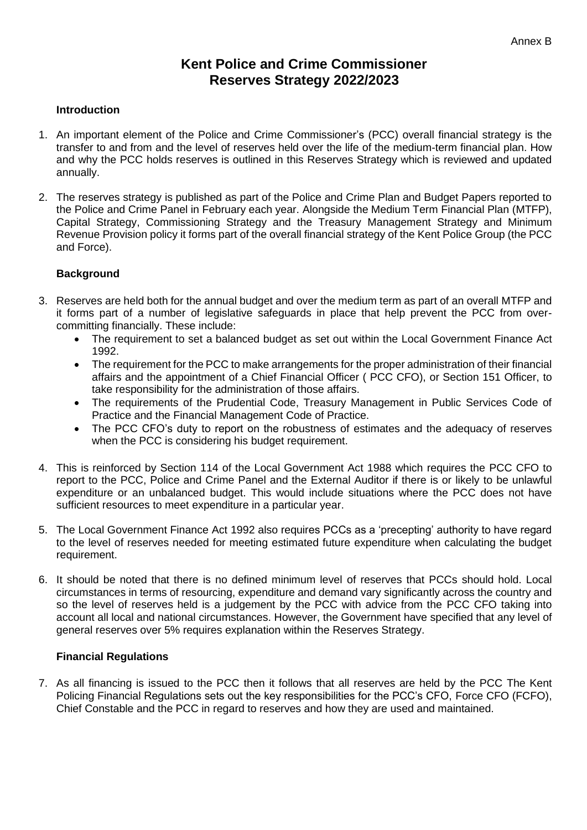# **Kent Police and Crime Commissioner Reserves Strategy 2022/2023**

### **Introduction**

- 1. An important element of the Police and Crime Commissioner's (PCC) overall financial strategy is the transfer to and from and the level of reserves held over the life of the medium-term financial plan. How and why the PCC holds reserves is outlined in this Reserves Strategy which is reviewed and updated annually.
- 2. The reserves strategy is published as part of the Police and Crime Plan and Budget Papers reported to the Police and Crime Panel in February each year. Alongside the Medium Term Financial Plan (MTFP), Capital Strategy, Commissioning Strategy and the Treasury Management Strategy and Minimum Revenue Provision policy it forms part of the overall financial strategy of the Kent Police Group (the PCC and Force).

# **Background**

- 3. Reserves are held both for the annual budget and over the medium term as part of an overall MTFP and it forms part of a number of legislative safeguards in place that help prevent the PCC from overcommitting financially. These include:
	- The requirement to set a balanced budget as set out within the Local Government Finance Act 1992.
	- The requirement for the PCC to make arrangements for the proper administration of their financial affairs and the appointment of a Chief Financial Officer ( PCC CFO), or Section 151 Officer, to take responsibility for the administration of those affairs.
	- The requirements of the Prudential Code, Treasury Management in Public Services Code of Practice and the Financial Management Code of Practice.
	- The PCC CFO's duty to report on the robustness of estimates and the adequacy of reserves when the PCC is considering his budget requirement.
- 4. This is reinforced by Section 114 of the Local Government Act 1988 which requires the PCC CFO to report to the PCC, Police and Crime Panel and the External Auditor if there is or likely to be unlawful expenditure or an unbalanced budget. This would include situations where the PCC does not have sufficient resources to meet expenditure in a particular year.
- 5. The Local Government Finance Act 1992 also requires PCCs as a 'precepting' authority to have regard to the level of reserves needed for meeting estimated future expenditure when calculating the budget requirement.
- 6. It should be noted that there is no defined minimum level of reserves that PCCs should hold. Local circumstances in terms of resourcing, expenditure and demand vary significantly across the country and so the level of reserves held is a judgement by the PCC with advice from the PCC CFO taking into account all local and national circumstances. However, the Government have specified that any level of general reserves over 5% requires explanation within the Reserves Strategy.

# **Financial Regulations**

7. As all financing is issued to the PCC then it follows that all reserves are held by the PCC The Kent Policing Financial Regulations sets out the key responsibilities for the PCC's CFO, Force CFO (FCFO), Chief Constable and the PCC in regard to reserves and how they are used and maintained.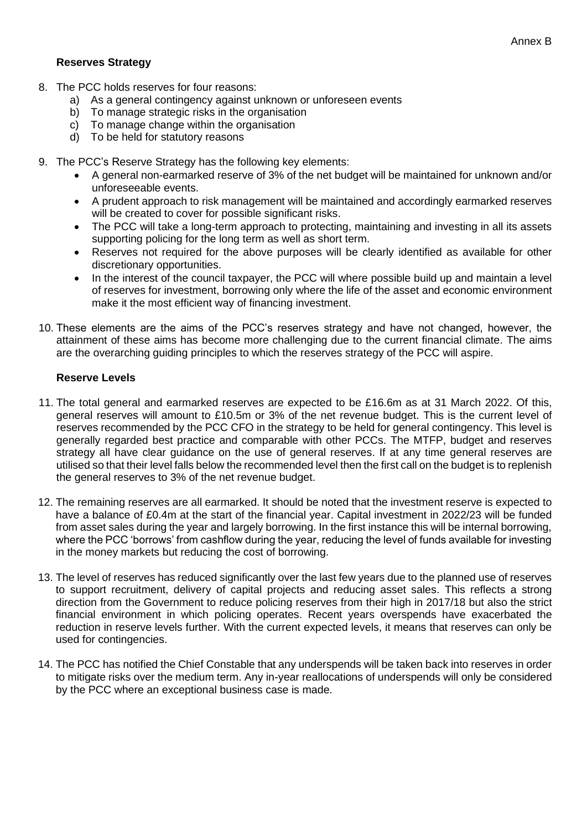#### **Reserves Strategy**

- 8. The PCC holds reserves for four reasons:
	- a) As a general contingency against unknown or unforeseen events
	- b) To manage strategic risks in the organisation
	- c) To manage change within the organisation
	- d) To be held for statutory reasons
- 9. The PCC's Reserve Strategy has the following key elements:
	- A general non-earmarked reserve of 3% of the net budget will be maintained for unknown and/or unforeseeable events.
	- A prudent approach to risk management will be maintained and accordingly earmarked reserves will be created to cover for possible significant risks.
	- The PCC will take a long-term approach to protecting, maintaining and investing in all its assets supporting policing for the long term as well as short term.
	- Reserves not required for the above purposes will be clearly identified as available for other discretionary opportunities.
	- In the interest of the council taxpayer, the PCC will where possible build up and maintain a level of reserves for investment, borrowing only where the life of the asset and economic environment make it the most efficient way of financing investment.
- 10. These elements are the aims of the PCC's reserves strategy and have not changed, however, the attainment of these aims has become more challenging due to the current financial climate. The aims are the overarching guiding principles to which the reserves strategy of the PCC will aspire.

# **Reserve Levels**

- 11. The total general and earmarked reserves are expected to be £16.6m as at 31 March 2022. Of this, general reserves will amount to £10.5m or 3% of the net revenue budget. This is the current level of reserves recommended by the PCC CFO in the strategy to be held for general contingency. This level is generally regarded best practice and comparable with other PCCs. The MTFP, budget and reserves strategy all have clear guidance on the use of general reserves. If at any time general reserves are utilised so that their level falls below the recommended level then the first call on the budget is to replenish the general reserves to 3% of the net revenue budget.
- 12. The remaining reserves are all earmarked. It should be noted that the investment reserve is expected to have a balance of £0.4m at the start of the financial year. Capital investment in 2022/23 will be funded from asset sales during the year and largely borrowing. In the first instance this will be internal borrowing, where the PCC 'borrows' from cashflow during the year, reducing the level of funds available for investing in the money markets but reducing the cost of borrowing.
- 13. The level of reserves has reduced significantly over the last few years due to the planned use of reserves to support recruitment, delivery of capital projects and reducing asset sales. This reflects a strong direction from the Government to reduce policing reserves from their high in 2017/18 but also the strict financial environment in which policing operates. Recent years overspends have exacerbated the reduction in reserve levels further. With the current expected levels, it means that reserves can only be used for contingencies.
- 14. The PCC has notified the Chief Constable that any underspends will be taken back into reserves in order to mitigate risks over the medium term. Any in-year reallocations of underspends will only be considered by the PCC where an exceptional business case is made.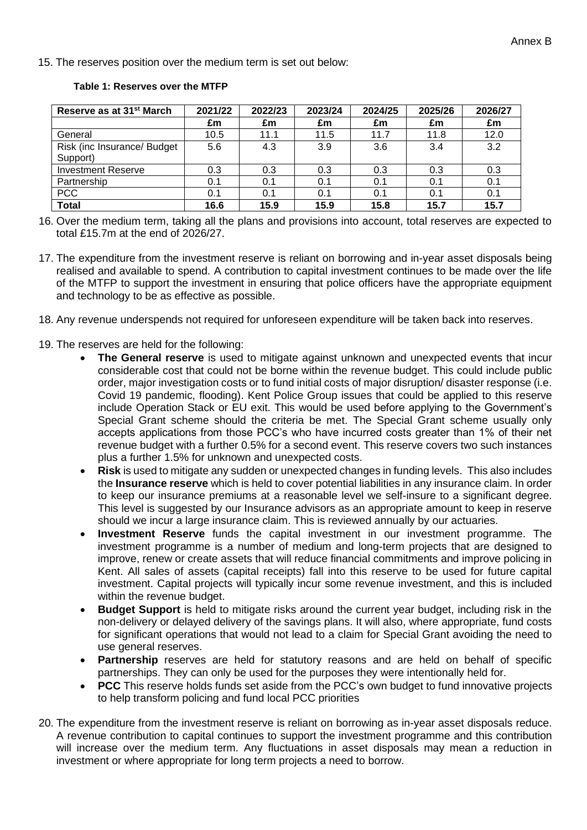#### 15. The reserves position over the medium term is set out below:

|  | Table 1: Reserves over the MTFP |  |  |
|--|---------------------------------|--|--|
|--|---------------------------------|--|--|

| Reserve as at 31 <sup>st</sup> March | 2021/22 | 2022/23 | 2023/24 | 2024/25 | 2025/26 | 2026/27 |
|--------------------------------------|---------|---------|---------|---------|---------|---------|
|                                      | £m      | £m      | £m      | £m      | £m      | £m      |
| General                              | 10.5    | 11.1    | 11.5    | 11.7    | 11.8    | 12.0    |
| Risk (inc Insurance/ Budget)         | 5.6     | 4.3     | 3.9     | 3.6     | 3.4     | 3.2     |
| Support)                             |         |         |         |         |         |         |
| <b>Investment Reserve</b>            | 0.3     | 0.3     | 0.3     | 0.3     | 0.3     | 0.3     |
| Partnership                          | 0.1     | 0.1     | 0.1     | 0.1     | 0.1     | 0.1     |
| <b>PCC</b>                           | 0.1     | 0.1     | 0.1     | 0.1     | 0.1     | 0.1     |
| <b>Total</b>                         | 16.6    | 15.9    | 15.9    | 15.8    | 15.7    | 15.7    |

16. Over the medium term, taking all the plans and provisions into account, total reserves are expected to total £15.7m at the end of 2026/27.

- 17. The expenditure from the investment reserve is reliant on borrowing and in-year asset disposals being realised and available to spend. A contribution to capital investment continues to be made over the life of the MTFP to support the investment in ensuring that police officers have the appropriate equipment and technology to be as effective as possible.
- 18. Any revenue underspends not required for unforeseen expenditure will be taken back into reserves.
- 19. The reserves are held for the following:
	- The General reserve is used to mitigate against unknown and unexpected events that incur considerable cost that could not be borne within the revenue budget. This could include public order, major investigation costs or to fund initial costs of major disruption/ disaster response (i.e. Covid 19 pandemic, flooding). Kent Police Group issues that could be applied to this reserve include Operation Stack or EU exit. This would be used before applying to the Government's Special Grant scheme should the criteria be met. The Special Grant scheme usually only accepts applications from those PCC's who have incurred costs greater than 1% of their net revenue budget with a further 0.5% for a second event. This reserve covers two such instances plus a further 1.5% for unknown and unexpected costs.
	- **Risk** is used to mitigate any sudden or unexpected changes in funding levels. This also includes the **Insurance reserve** which is held to cover potential liabilities in any insurance claim. In order to keep our insurance premiums at a reasonable level we self-insure to a significant degree. This level is suggested by our Insurance advisors as an appropriate amount to keep in reserve should we incur a large insurance claim. This is reviewed annually by our actuaries.
	- **Investment Reserve** funds the capital investment in our investment programme. The investment programme is a number of medium and long-term projects that are designed to improve, renew or create assets that will reduce financial commitments and improve policing in Kent. All sales of assets (capital receipts) fall into this reserve to be used for future capital investment. Capital projects will typically incur some revenue investment, and this is included within the revenue budget.
	- **Budget Support** is held to mitigate risks around the current year budget, including risk in the non-delivery or delayed delivery of the savings plans. It will also, where appropriate, fund costs for significant operations that would not lead to a claim for Special Grant avoiding the need to use general reserves.
	- **Partnership** reserves are held for statutory reasons and are held on behalf of specific partnerships. They can only be used for the purposes they were intentionally held for.
	- **PCC** This reserve holds funds set aside from the PCC's own budget to fund innovative projects to help transform policing and fund local PCC priorities
- 20. The expenditure from the investment reserve is reliant on borrowing as in-year asset disposals reduce. A revenue contribution to capital continues to support the investment programme and this contribution will increase over the medium term. Any fluctuations in asset disposals may mean a reduction in investment or where appropriate for long term projects a need to borrow.